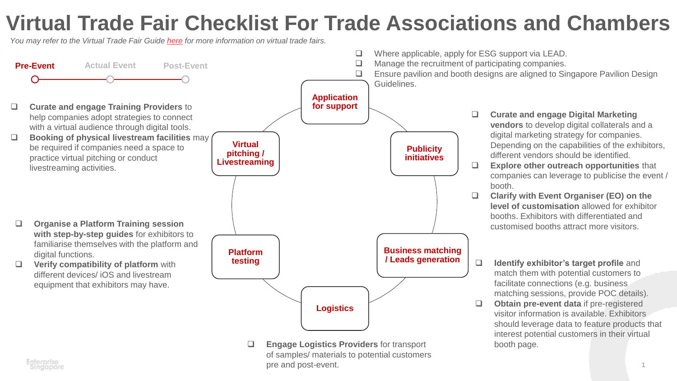## **Virtual Trade Fair Checklist For Trade Associations and Chambers**

*You may refer to the Virtual Trade Fair Guide [here](https://www.enterprisesg.gov.sg/non-financial-assistance/for-singapore-companies/business-toolkits/virtual-tradeshow-guide) for more information on virtual trade fairs.*